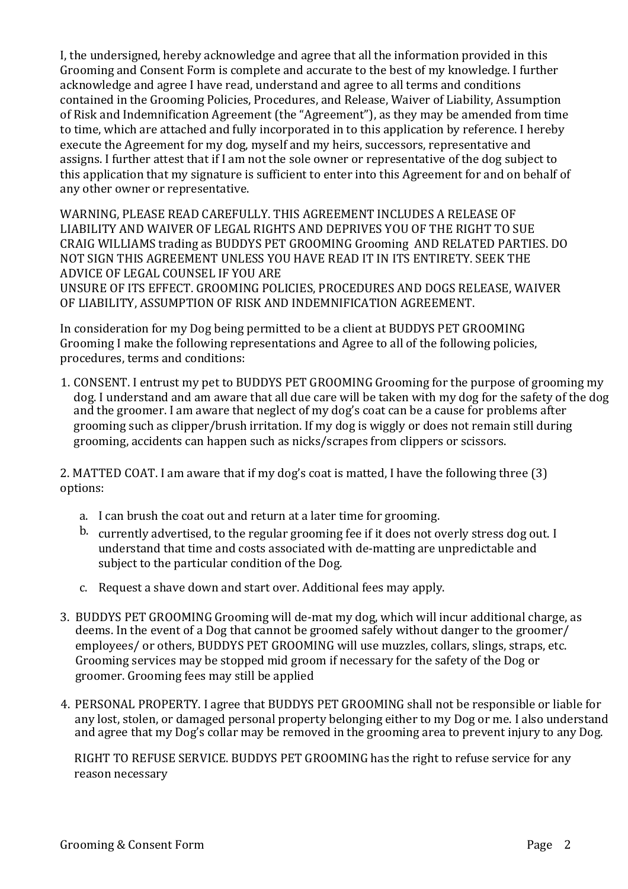I, the undersigned, hereby acknowledge and agree that all the information provided in this Grooming and Consent Form is complete and accurate to the best of my knowledge. I further acknowledge and agree I have read, understand and agree to all terms and conditions contained in the Grooming Policies, Procedures, and Release, Waiver of Liability, Assumption of Risk and Indemnification Agreement (the "Agreement"), as they may be amended from time to time, which are attached and fully incorporated in to this application by reference. I hereby execute the Agreement for my dog, myself and my heirs, successors, representative and assigns. I further attest that if I am not the sole owner or representative of the dog subject to this application that my signature is sufficient to enter into this Agreement for and on behalf of any other owner or representative.

WARNING, PLEASE READ CAREFULLY. THIS AGREEMENT INCLUDES A RELEASE OF LIABILITY AND WAIVER OF LEGAL RIGHTS AND DEPRIVES YOU OF THE RIGHT TO SUE CRAIG WILLIAMS trading as BUDDYS PET GROOMING Grooming AND RELATED PARTIES. DO NOT SIGN THIS AGREEMENT UNLESS YOU HAVE READ IT IN ITS ENTIRETY. SEEK THE ADVICE OF LEGAL COUNSEL IF YOU ARE UNSURE OF ITS EFFECT. GROOMING POLICIES, PROCEDURES AND DOGS RELEASE, WAIVER OF LIABILITY, ASSUMPTION OF RISK AND INDEMNIFICATION AGREEMENT.

In consideration for my Dog being permitted to be a client at BUDDYS PET GROOMING Grooming I make the following representations and Agree to all of the following policies, procedures, terms and conditions:

1. CONSENT. I entrust my pet to BUDDYS PET GROOMING Grooming for the purpose of grooming my dog. I understand and am aware that all due care will be taken with my dog for the safety of the dog and the groomer. I am aware that neglect of my dog's coat can be a cause for problems after grooming such as clipper/brush irritation. If my dog is wiggly or does not remain still during grooming, accidents can happen such as nicks/scrapes from clippers or scissors.

2. MATTED COAT. I am aware that if my dog's coat is matted, I have the following three  $(3)$ options: 

- a. I can brush the coat out and return at a later time for grooming.
- b. currently advertised, to the regular grooming fee if it does not overly stress dog out. I understand that time and costs associated with de-matting are unpredictable and subject to the particular condition of the Dog.
- c. Request a shave down and start over. Additional fees may apply.
- 3. BUDDYS PET GROOMING Grooming will de-mat my dog, which will incur additional charge, as deems. In the event of a Dog that cannot be groomed safely without danger to the groomer/ employees/ or others, BUDDYS PET GROOMING will use muzzles, collars, slings, straps, etc. Grooming services may be stopped mid groom if necessary for the safety of the Dog or groomer. Grooming fees may still be applied
- 4. PERSONAL PROPERTY. I agree that BUDDYS PET GROOMING shall not be responsible or liable for any lost, stolen, or damaged personal property belonging either to my Dog or me. I also understand and agree that my Dog's collar may be removed in the grooming area to prevent injury to any Dog.

RIGHT TO REFUSE SERVICE. BUDDYS PET GROOMING has the right to refuse service for any reason necessary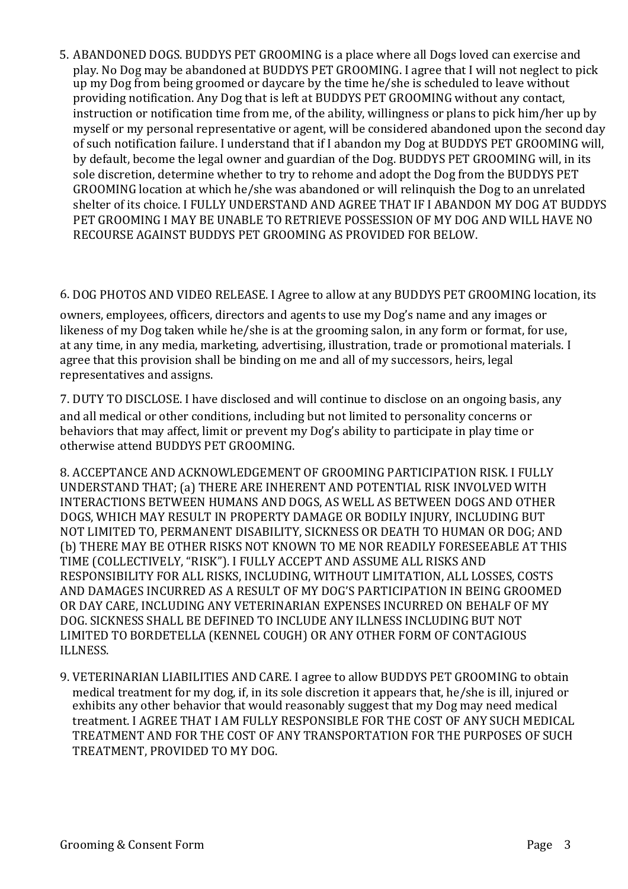5. ABANDONED DOGS. BUDDYS PET GROOMING is a place where all Dogs loved can exercise and play. No Dog may be abandoned at BUDDYS PET GROOMING. I agree that I will not neglect to pick up my Dog from being groomed or daycare by the time he/she is scheduled to leave without providing notification. Any Dog that is left at BUDDYS PET GROOMING without any contact, instruction or notification time from me, of the ability, willingness or plans to pick him/her up by myself or my personal representative or agent, will be considered abandoned upon the second day of such notification failure. I understand that if I abandon my Dog at BUDDYS PET GROOMING will, by default, become the legal owner and guardian of the Dog. BUDDYS PET GROOMING will, in its sole discretion, determine whether to try to rehome and adopt the Dog from the BUDDYS PET GROOMING location at which he/she was abandoned or will relinquish the Dog to an unrelated shelter of its choice. I FULLY UNDERSTAND AND AGREE THAT IF I ABANDON MY DOG AT BUDDYS PET GROOMING I MAY BE UNABLE TO RETRIEVE POSSESSION OF MY DOG AND WILL HAVE NO RECOURSE AGAINST BUDDYS PET GROOMING AS PROVIDED FOR BELOW.

## 6. DOG PHOTOS AND VIDEO RELEASE. I Agree to allow at any BUDDYS PET GROOMING location, its

owners, employees, officers, directors and agents to use my Dog's name and any images or likeness of my Dog taken while he/she is at the grooming salon, in any form or format, for use, at any time, in any media, marketing, advertising, illustration, trade or promotional materials. I agree that this provision shall be binding on me and all of my successors, heirs, legal representatives and assigns.

7. DUTY TO DISCLOSE. I have disclosed and will continue to disclose on an ongoing basis, any and all medical or other conditions, including but not limited to personality concerns or behaviors that may affect, limit or prevent my Dog's ability to participate in play time or otherwise attend BUDDYS PET GROOMING.

8. ACCEPTANCE AND ACKNOWLEDGEMENT OF GROOMING PARTICIPATION RISK. I FULLY UNDERSTAND THAT; (a) THERE ARE INHERENT AND POTENTIAL RISK INVOLVED WITH INTERACTIONS BETWEEN HUMANS AND DOGS, AS WELL AS BETWEEN DOGS AND OTHER DOGS, WHICH MAY RESULT IN PROPERTY DAMAGE OR BODILY INIURY, INCLUDING BUT NOT LIMITED TO, PERMANENT DISABILITY, SICKNESS OR DEATH TO HUMAN OR DOG; AND (b) THERE MAY BE OTHER RISKS NOT KNOWN TO ME NOR READILY FORESEEABLE AT THIS TIME (COLLECTIVELY, "RISK"). I FULLY ACCEPT AND ASSUME ALL RISKS AND RESPONSIBILITY FOR ALL RISKS, INCLUDING, WITHOUT LIMITATION, ALL LOSSES, COSTS AND DAMAGES INCURRED AS A RESULT OF MY DOG'S PARTICIPATION IN BEING GROOMED OR DAY CARE, INCLUDING ANY VETERINARIAN EXPENSES INCURRED ON BEHALF OF MY DOG, SICKNESS SHALL BE DEFINED TO INCLUDE ANY ILLNESS INCLUDING BUT NOT LIMITED TO BORDETELLA (KENNEL COUGH) OR ANY OTHER FORM OF CONTAGIOUS ILLNESS.

9. VETERINARIAN LIABILITIES AND CARE. I agree to allow BUDDYS PET GROOMING to obtain medical treatment for my dog, if, in its sole discretion it appears that, he/she is ill, injured or exhibits any other behavior that would reasonably suggest that my Dog may need medical treatment. I AGREE THAT I AM FULLY RESPONSIBLE FOR THE COST OF ANY SUCH MEDICAL TREATMENT AND FOR THE COST OF ANY TRANSPORTATION FOR THE PURPOSES OF SUCH TREATMENT, PROVIDED TO MY DOG.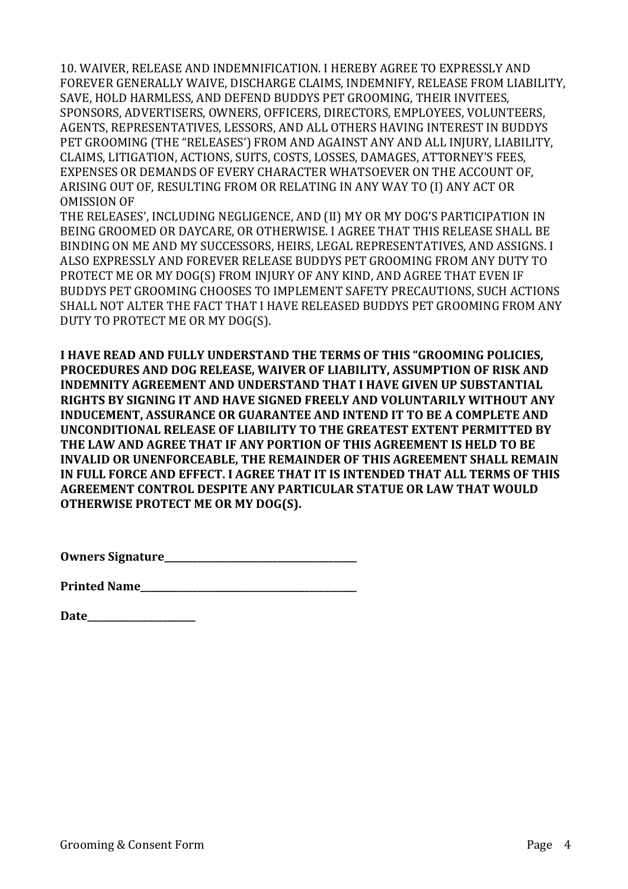10. WAIVER, RELEASE AND INDEMNIFICATION. I HEREBY AGREE TO EXPRESSLY AND FOREVER GENERALLY WAIVE, DISCHARGE CLAIMS, INDEMNIFY, RELEASE FROM LIABILITY, SAVE, HOLD HARMLESS, AND DEFEND BUDDYS PET GROOMING, THEIR INVITEES, SPONSORS, ADVERTISERS, OWNERS, OFFICERS, DIRECTORS, EMPLOYEES, VOLUNTEERS, AGENTS, REPRESENTATIVES, LESSORS, AND ALL OTHERS HAVING INTEREST IN BUDDYS PET GROOMING (THE "RELEASES') FROM AND AGAINST ANY AND ALL INJURY, LIABILITY, CLAIMS, LITIGATION, ACTIONS, SUITS, COSTS, LOSSES, DAMAGES, ATTORNEY'S FEES, EXPENSES OR DEMANDS OF EVERY CHARACTER WHATSOEVER ON THE ACCOUNT OF, ARISING OUT OF, RESULTING FROM OR RELATING IN ANY WAY TO (I) ANY ACT OR OMISSION OF

THE RELEASES', INCLUDING NEGLIGENCE, AND (II) MY OR MY DOG'S PARTICIPATION IN BEING GROOMED OR DAYCARE, OR OTHERWISE. I AGREE THAT THIS RELEASE SHALL BE BINDING ON ME AND MY SUCCESSORS, HEIRS, LEGAL REPRESENTATIVES, AND ASSIGNS. I ALSO EXPRESSLY AND FOREVER RELEASE BUDDYS PET GROOMING FROM ANY DUTY TO PROTECT ME OR MY DOG(S) FROM INJURY OF ANY KIND, AND AGREE THAT EVEN IF BUDDYS PET GROOMING CHOOSES TO IMPLEMENT SAFETY PRECAUTIONS, SUCH ACTIONS SHALL NOT ALTER THE FACT THAT I HAVE RELEASED BUDDYS PET GROOMING FROM ANY DUTY TO PROTECT ME OR MY DOG(S).

**I HAVE READ AND FULLY UNDERSTAND THE TERMS OF THIS "GROOMING POLICIES,** PROCEDURES AND DOG RELEASE, WAIVER OF LIABILITY, ASSUMPTION OF RISK AND **INDEMNITY AGREEMENT AND UNDERSTAND THAT I HAVE GIVEN UP SUBSTANTIAL RIGHTS BY SIGNING IT AND HAVE SIGNED FREELY AND VOLUNTARILY WITHOUT ANY INDUCEMENT, ASSURANCE OR GUARANTEE AND INTEND IT TO BE A COMPLETE AND UNCONDITIONAL RELEASE OF LIABILITY TO THE GREATEST EXTENT PERMITTED BY** THE LAW AND AGREE THAT IF ANY PORTION OF THIS AGREEMENT IS HELD TO BE **INVALID OR UNENFORCEABLE. THE REMAINDER OF THIS AGREEMENT SHALL REMAIN IN FULL FORCE AND EFFECT. I AGREE THAT IT IS INTENDED THAT ALL TERMS OF THIS AGREEMENT CONTROL DESPITE ANY PARTICULAR STATUE OR LAW THAT WOULD OTHERWISE PROTECT ME OR MY DOG(S).** 

**Owners Signature\_\_\_\_\_\_\_\_\_\_\_\_\_\_\_\_\_\_\_\_\_\_\_\_\_\_\_\_\_\_\_\_\_\_\_\_\_\_\_\_\_**

| <b>Printed Name</b> |
|---------------------|
|---------------------|

**Date\_\_\_\_\_\_\_\_\_\_\_\_\_\_\_\_\_\_\_\_\_\_\_**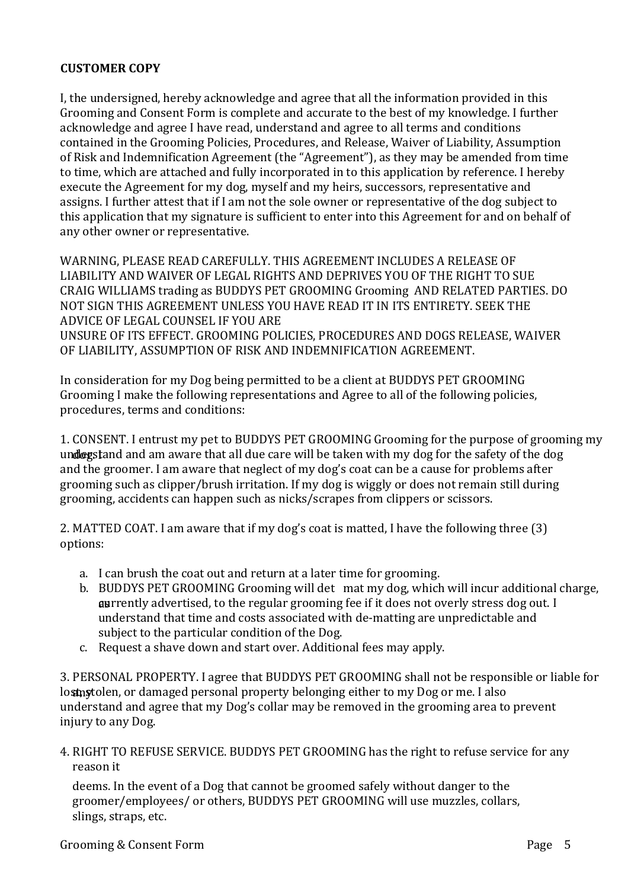## **CUSTOMER COPY**

I, the undersigned, hereby acknowledge and agree that all the information provided in this Grooming and Consent Form is complete and accurate to the best of my knowledge. I further acknowledge and agree I have read, understand and agree to all terms and conditions contained in the Grooming Policies, Procedures, and Release, Waiver of Liability, Assumption of Risk and Indemnification Agreement (the "Agreement"), as they may be amended from time to time, which are attached and fully incorporated in to this application by reference. I hereby execute the Agreement for my dog, myself and my heirs, successors, representative and assigns. I further attest that if I am not the sole owner or representative of the dog subject to this application that my signature is sufficient to enter into this Agreement for and on behalf of any other owner or representative.

WARNING, PLEASE READ CAREFULLY, THIS AGREEMENT INCLUDES A RELEASE OF LIABILITY AND WAIVER OF LEGAL RIGHTS AND DEPRIVES YOU OF THE RIGHT TO SUE CRAIG WILLIAMS trading as BUDDYS PET GROOMING Grooming AND RELATED PARTIES. DO NOT SIGN THIS AGREEMENT UNLESS YOU HAVE READ IT IN ITS ENTIRETY. SEEK THE ADVICE OF LEGAL COUNSEL IF YOU ARE UNSURE OF ITS EFFECT. GROOMING POLICIES, PROCEDURES AND DOGS RELEASE, WAIVER OF LIABILITY, ASSUMPTION OF RISK AND INDEMNIFICATION AGREEMENT.

In consideration for my Dog being permitted to be a client at BUDDYS PET GROOMING Grooming I make the following representations and Agree to all of the following policies, procedures, terms and conditions:

1. CONSENT. I entrust my pet to BUDDYS PET GROOMING Grooming for the purpose of grooming my und expection and am aware that all due care will be taken with my dog for the safety of the dog. and the groomer. I am aware that neglect of my dog's coat can be a cause for problems after grooming such as clipper/brush irritation. If my dog is wiggly or does not remain still during grooming, accidents can happen such as nicks/scrapes from clippers or scissors.

2. MATTED COAT. I am aware that if my dog's coat is matted, I have the following three  $(3)$ options: 

- a. I can brush the coat out and return at a later time for grooming.
- b. BUDDYS PET GROOMING Grooming will det mat my dog, which will incur additional charge, **as** rently advertised, to the regular grooming fee if it does not overly stress dog out. I understand that time and costs associated with de-matting are unpredictable and subject to the particular condition of the Dog.
- c. Request a shave down and start over. Additional fees may apply.

3. PERSONAL PROPERTY. I agree that BUDDYS PET GROOMING shall not be responsible or liable for lostnytolen, or damaged personal property belonging either to my Dog or me. I also understand and agree that my Dog's collar may be removed in the grooming area to prevent injury to any Dog.

4. RIGHT TO REFUSE SERVICE. BUDDYS PET GROOMING has the right to refuse service for any reason it

deems. In the event of a Dog that cannot be groomed safely without danger to the groomer/employees/ or others, BUDDYS PET GROOMING will use muzzles, collars, slings, straps, etc.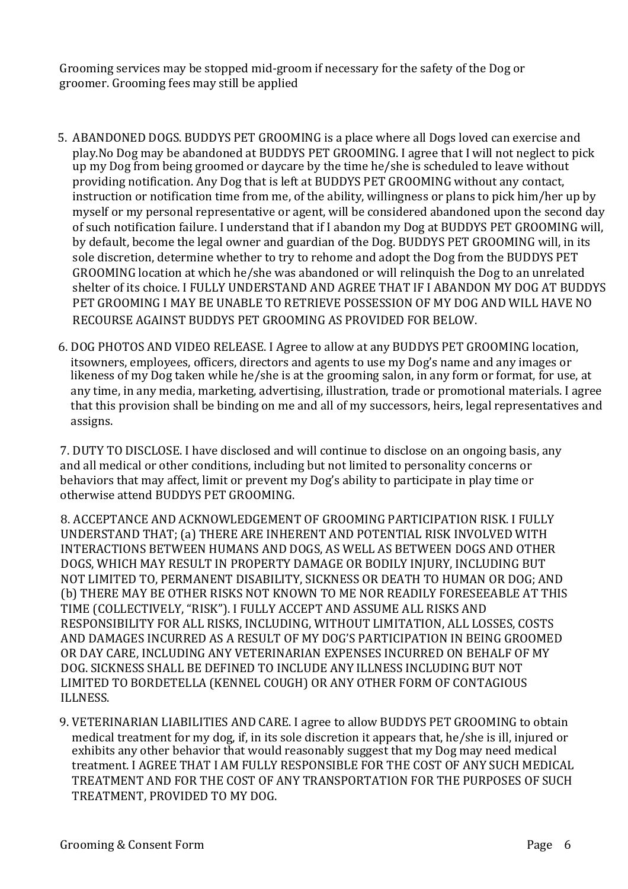Grooming services may be stopped mid-groom if necessary for the safety of the Dog or groomer. Grooming fees may still be applied

- 5. ABANDONED DOGS. BUDDYS PET GROOMING is a place where all Dogs loved can exercise and play.No Dog may be abandoned at BUDDYS PET GROOMING. I agree that I will not neglect to pick up my Dog from being groomed or daycare by the time he/she is scheduled to leave without providing notification. Any Dog that is left at BUDDYS PET GROOMING without any contact, instruction or notification time from me, of the ability, willingness or plans to pick him/her up by myself or my personal representative or agent, will be considered abandoned upon the second day of such notification failure. I understand that if I abandon my Dog at BUDDYS PET GROOMING will, by default, become the legal owner and guardian of the Dog. BUDDYS PET GROOMING will, in its sole discretion, determine whether to try to rehome and adopt the Dog from the BUDDYS PET GROOMING location at which he/she was abandoned or will relinquish the Dog to an unrelated shelter of its choice. I FULLY UNDERSTAND AND AGREE THAT IF I ABANDON MY DOG AT BUDDYS PET GROOMING I MAY BE UNABLE TO RETRIEVE POSSESSION OF MY DOG AND WILL HAVE NO RECOURSE AGAINST BUDDYS PET GROOMING AS PROVIDED FOR BELOW.
- 6. DOG PHOTOS AND VIDEO RELEASE. I Agree to allow at any BUDDYS PET GROOMING location, itsowners, employees, officers, directors and agents to use my Dog's name and any images or likeness of my Dog taken while he/she is at the grooming salon, in any form or format, for use, at any time, in any media, marketing, advertising, illustration, trade or promotional materials. I agree that this provision shall be binding on me and all of my successors, heirs, legal representatives and assigns.

7. DUTY TO DISCLOSE. I have disclosed and will continue to disclose on an ongoing basis, any and all medical or other conditions, including but not limited to personality concerns or behaviors that may affect, limit or prevent my Dog's ability to participate in play time or otherwise attend BUDDYS PET GROOMING. 

8. ACCEPTANCE AND ACKNOWLEDGEMENT OF GROOMING PARTICIPATION RISK. I FULLY UNDERSTAND THAT: (a) THERE ARE INHERENT AND POTENTIAL RISK INVOLVED WITH INTERACTIONS BETWEEN HUMANS AND DOGS, AS WELL AS BETWEEN DOGS AND OTHER DOGS, WHICH MAY RESULT IN PROPERTY DAMAGE OR BODILY INJURY, INCLUDING BUT NOT LIMITED TO, PERMANENT DISABILITY, SICKNESS OR DEATH TO HUMAN OR DOG; AND (b) THERE MAY BE OTHER RISKS NOT KNOWN TO ME NOR READILY FORESEEABLE AT THIS TIME (COLLECTIVELY, "RISK"). I FULLY ACCEPT AND ASSUME ALL RISKS AND RESPONSIBILITY FOR ALL RISKS, INCLUDING, WITHOUT LIMITATION, ALL LOSSES, COSTS AND DAMAGES INCURRED AS A RESULT OF MY DOG'S PARTICIPATION IN BEING GROOMED OR DAY CARE, INCLUDING ANY VETERINARIAN EXPENSES INCURRED ON BEHALF OF MY DOG. SICKNESS SHALL BE DEFINED TO INCLUDE ANY ILLNESS INCLUDING BUT NOT LIMITED TO BORDETELLA (KENNEL COUGH) OR ANY OTHER FORM OF CONTAGIOUS ILLNESS.

9. VETERINARIAN LIABILITIES AND CARE. I agree to allow BUDDYS PET GROOMING to obtain medical treatment for my dog, if, in its sole discretion it appears that, he/she is ill, injured or exhibits any other behavior that would reasonably suggest that my Dog may need medical treatment. I AGREE THAT I AM FULLY RESPONSIBLE FOR THE COST OF ANY SUCH MEDICAL TREATMENT AND FOR THE COST OF ANY TRANSPORTATION FOR THE PURPOSES OF SUCH TREATMENT, PROVIDED TO MY DOG.